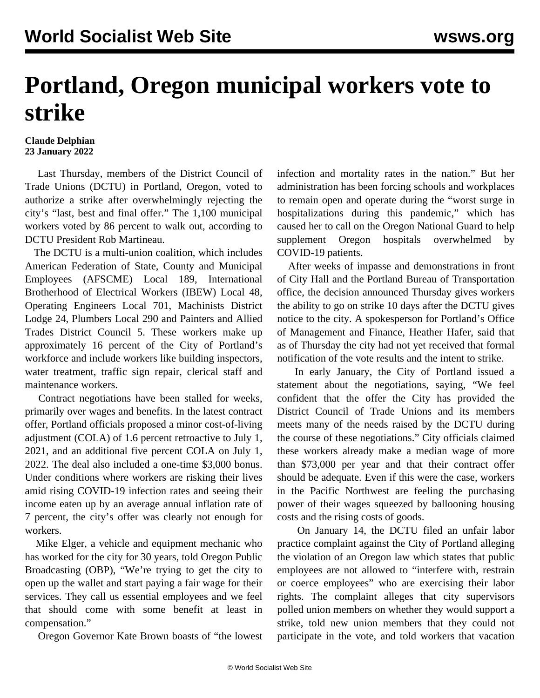## **Portland, Oregon municipal workers vote to strike**

## **Claude Delphian 23 January 2022**

 Last Thursday, members of the District Council of Trade Unions (DCTU) in Portland, Oregon, voted to authorize a strike after overwhelmingly rejecting the city's "last, best and final offer." The 1,100 municipal workers voted by 86 percent to walk out, according to DCTU President Rob Martineau.

 The DCTU is a multi-union coalition, which includes American Federation of State, County and Municipal Employees (AFSCME) Local 189, International Brotherhood of Electrical Workers (IBEW) Local 48, Operating Engineers Local 701, Machinists District Lodge 24, Plumbers Local 290 and Painters and Allied Trades District Council 5. These workers make up approximately 16 percent of the City of Portland's workforce and include workers like building inspectors, water treatment, traffic sign repair, clerical staff and maintenance workers.

 Contract negotiations have been stalled for weeks, primarily over wages and benefits. In the latest contract offer, Portland officials proposed a minor cost-of-living adjustment (COLA) of 1.6 percent retroactive to July 1, 2021, and an additional five percent COLA on July 1, 2022. The deal also included a one-time \$3,000 bonus. Under conditions where workers are risking their lives amid rising COVID-19 infection rates and seeing their income eaten up by an average annual inflation rate of 7 percent, the city's offer was clearly not enough for workers.

 Mike Elger, a vehicle and equipment mechanic who has worked for the city for 30 years, told Oregon Public Broadcasting (OBP), "We're trying to get the city to open up the wallet and start paying a fair wage for their services. They call us essential employees and we feel that should come with some benefit at least in compensation."

Oregon Governor Kate Brown [boasts](/en/articles/2022/01/22/uofo-j22.html) of "the lowest

infection and mortality rates in the nation." But her administration has been forcing schools and workplaces to remain open and operate during the "worst surge in hospitalizations during this pandemic," which has caused her to call on the Oregon National Guard to help supplement Oregon hospitals overwhelmed by COVID-19 patients.

 After weeks of impasse and demonstrations in front of City Hall and the Portland Bureau of Transportation office, the decision announced Thursday gives workers the ability to go on strike 10 days after the DCTU gives notice to the city. A spokesperson for Portland's Office of Management and Finance, Heather Hafer, said that as of Thursday the city had not yet received that formal notification of the vote results and the intent to strike.

 In early January, the City of Portland issued a statement about the negotiations, saying, "We feel confident that the offer the City has provided the District Council of Trade Unions and its members meets many of the needs raised by the DCTU during the course of these negotiations." City officials claimed these workers already make a median wage of more than \$73,000 per year and that their contract offer should be adequate. Even if this were the case, workers in the Pacific Northwest are feeling the purchasing power of their wages squeezed by ballooning housing costs and the rising costs of goods.

 On January 14, the DCTU [filed](https://www.opb.org/article/2022/01/18/trade-unions-accuse-portland-officials-of-interfering-in-labor-effort/) an unfair labor practice complaint against the City of Portland alleging the violation of an Oregon law which states that public employees are not allowed to "interfere with, restrain or coerce employees" who are exercising their labor rights. The complaint alleges that city supervisors polled union members on whether they would support a strike, told new union members that they could not participate in the vote, and told workers that vacation